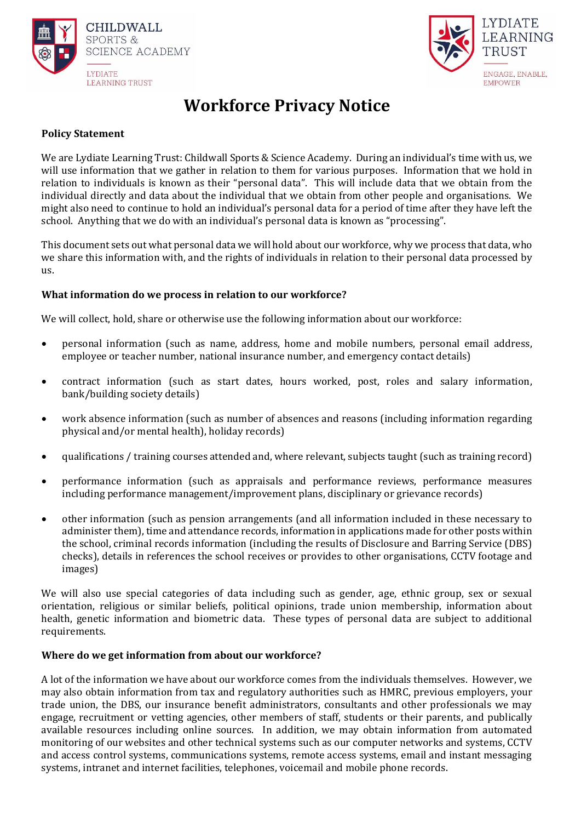



# **Workforce Privacy Notice**

## **Policy Statement**

We are Lydiate Learning Trust: Childwall Sports & Science Academy. During an individual's time with us, we will use information that we gather in relation to them for various purposes. Information that we hold in relation to individuals is known as their "personal data". This will include data that we obtain from the individual directly and data about the individual that we obtain from other people and organisations. We might also need to continue to hold an individual's personal data for a period of time after they have left the school. Anything that we do with an individual's personal data is known as "processing".

This document sets out what personal data we will hold about our workforce, why we process that data, who we share this information with, and the rights of individuals in relation to their personal data processed by us.

## **What information do we process in relation to our workforce?**

We will collect, hold, share or otherwise use the following information about our workforce:

- personal information (such as name, address, home and mobile numbers, personal email address, employee or teacher number, national insurance number, and emergency contact details)
- contract information (such as start dates, hours worked, post, roles and salary information, bank/building society details)
- work absence information (such as number of absences and reasons (including information regarding physical and/or mental health), holiday records)
- qualifications / training courses attended and, where relevant, subjects taught (such as training record)
- performance information (such as appraisals and performance reviews, performance measures including performance management/improvement plans, disciplinary or grievance records)
- other information (such as pension arrangements (and all information included in these necessary to administer them), time and attendance records, information in applications made for other posts within the school, criminal records information (including the results of Disclosure and Barring Service (DBS) checks), details in references the school receives or provides to other organisations, CCTV footage and images)

We will also use special categories of data including such as gender, age, ethnic group, sex or sexual orientation, religious or similar beliefs, political opinions, trade union membership, information about health, genetic information and biometric data. These types of personal data are subject to additional requirements.

#### **Where do we get information from about our workforce?**

A lot of the information we have about our workforce comes from the individuals themselves. However, we may also obtain information from tax and regulatory authorities such as HMRC, previous employers, your trade union, the DBS, our insurance benefit administrators, consultants and other professionals we may engage, recruitment or vetting agencies, other members of staff, students or their parents, and publically available resources including online sources. In addition, we may obtain information from automated monitoring of our websites and other technical systems such as our computer networks and systems, CCTV and access control systems, communications systems, remote access systems, email and instant messaging systems, intranet and internet facilities, telephones, voicemail and mobile phone records.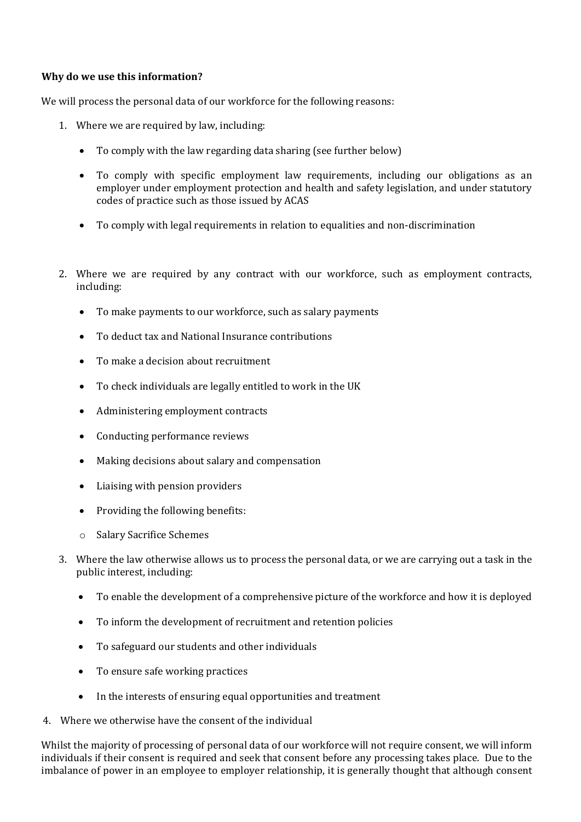## **Why do we use this information?**

We will process the personal data of our workforce for the following reasons:

- 1. Where we are required by law, including:
	- To comply with the law regarding data sharing (see further below)
	- To comply with specific employment law requirements, including our obligations as an employer under employment protection and health and safety legislation, and under statutory codes of practice such as those issued by ACAS
	- To comply with legal requirements in relation to equalities and non-discrimination
- 2. Where we are required by any contract with our workforce, such as employment contracts, including:
	- To make payments to our workforce, such as salary payments
	- To deduct tax and National Insurance contributions
	- To make a decision about recruitment
	- To check individuals are legally entitled to work in the UK
	- Administering employment contracts
	- Conducting performance reviews
	- Making decisions about salary and compensation
	- Liaising with pension providers
	- Providing the following benefits:
	- o Salary Sacrifice Schemes
- 3. Where the law otherwise allows us to process the personal data, or we are carrying out a task in the public interest, including:
	- To enable the development of a comprehensive picture of the workforce and how it is deployed
	- To inform the development of recruitment and retention policies
	- To safeguard our students and other individuals
	- To ensure safe working practices
	- In the interests of ensuring equal opportunities and treatment
- 4. Where we otherwise have the consent of the individual

Whilst the majority of processing of personal data of our workforce will not require consent, we will inform individuals if their consent is required and seek that consent before any processing takes place. Due to the imbalance of power in an employee to employer relationship, it is generally thought that although consent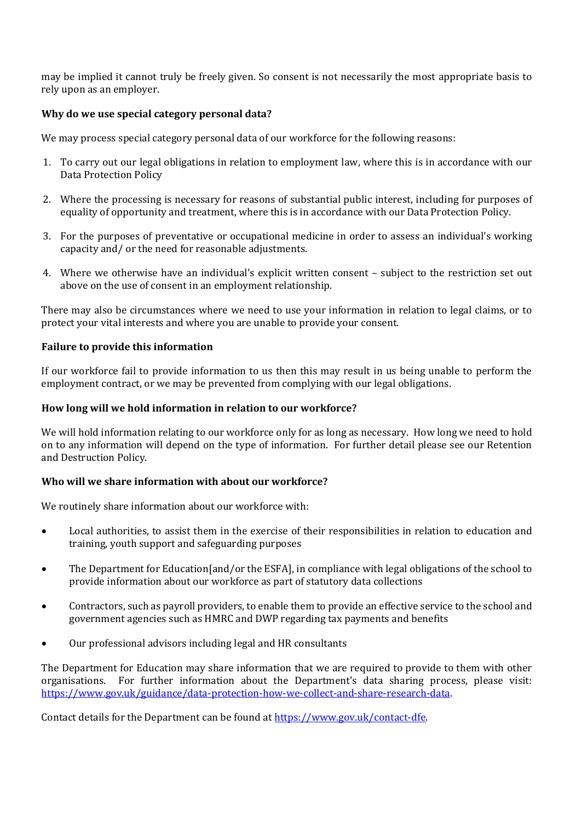may be implied it cannot truly be freely given. So consent is not necessarily the most appropriate basis to rely upon as an employer.

## **Why do we use special category personal data?**

We may process special category personal data of our workforce for the following reasons:

- 1. To carry out our legal obligations in relation to employment law, where this is in accordance with our Data Protection Policy
- 2. Where the processing is necessary for reasons of substantial public interest, including for purposes of equality of opportunity and treatment, where this is in accordance with our Data Protection Policy.
- 3. For the purposes of preventative or occupational medicine in order to assess an individual's working capacity and/ or the need for reasonable adjustments.
- 4. Where we otherwise have an individual's explicit written consent subject to the restriction set out above on the use of consent in an employment relationship.

There may also be circumstances where we need to use your information in relation to legal claims, or to protect your vital interests and where you are unable to provide your consent.

## **Failure to provide this information**

If our workforce fail to provide information to us then this may result in us being unable to perform the employment contract, or we may be prevented from complying with our legal obligations.

### **How long will we hold information in relation to our workforce?**

We will hold information relating to our workforce only for as long as necessary. How long we need to hold on to any information will depend on the type of information. For further detail please see our Retention and Destruction Policy.

#### **Who will we share information with about our workforce?**

We routinely share information about our workforce with:

- Local authorities, to assist them in the exercise of their responsibilities in relation to education and training, youth support and safeguarding purposes
- The Department for Education[and/or the ESFA], in compliance with legal obligations of the school to provide information about our workforce as part of statutory data collections
- Contractors, such as payroll providers, to enable them to provide an effective service to the school and government agencies such as HMRC and DWP regarding tax payments and benefits
- Our professional advisors including legal and HR consultants

The Department for Education may share information that we are required to provide to them with other organisations. For further information about the Department's data sharing process, please visit: [https://www.gov.uk/guidance/data-protection-how-we-collect-and-share-research-data.](https://www.gov.uk/guidance/data-protection-how-we-collect-and-share-research-data)

Contact details for the Department can be found at [https://www.gov.uk/contact-dfe.](https://www.gov.uk/contact-dfe)